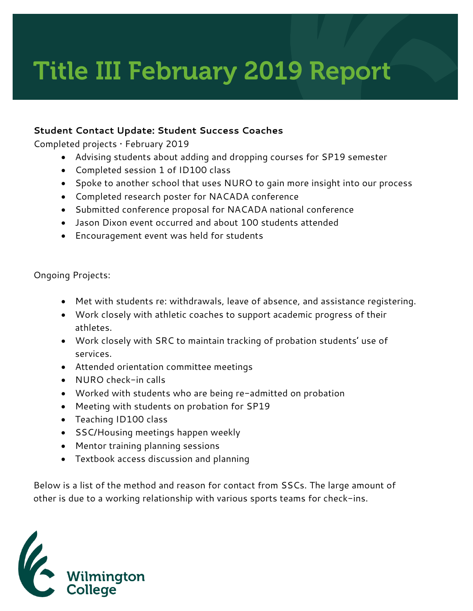## Title III February 2019 Report

## **Student Contact Update: Student Success Coaches**

Completed projects • February 2019

- Advising students about adding and dropping courses for SP19 semester
- Completed session 1 of ID100 class
- Spoke to another school that uses NURO to gain more insight into our process
- Completed research poster for NACADA conference
- Submitted conference proposal for NACADA national conference
- Jason Dixon event occurred and about 100 students attended
- Encouragement event was held for students

Ongoing Projects:

- Met with students re: withdrawals, leave of absence, and assistance registering.
- Work closely with athletic coaches to support academic progress of their athletes.
- Work closely with SRC to maintain tracking of probation students' use of services.
- Attended orientation committee meetings
- NURO check-in calls
- Worked with students who are being re-admitted on probation
- Meeting with students on probation for SP19
- Teaching ID100 class
- SSC/Housing meetings happen weekly
- Mentor training planning sessions
- Textbook access discussion and planning

Below is a list of the method and reason for contact from SSCs. The large amount of other is due to a working relationship with various sports teams for check-ins.

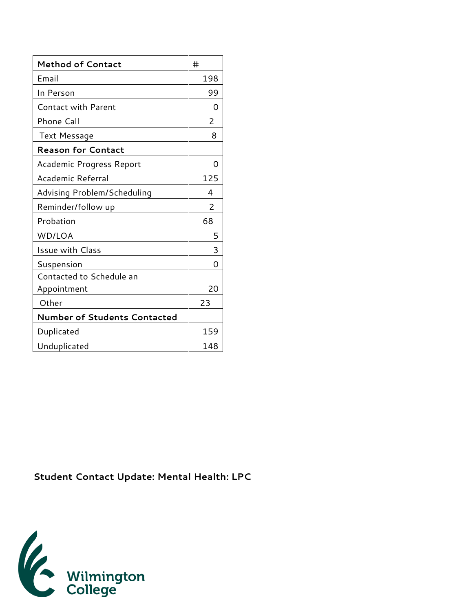| <b>Method of Contact</b>            | #              |
|-------------------------------------|----------------|
| Email                               | 198            |
| In Person                           | 99             |
| <b>Contact with Parent</b>          | Ω              |
| Phone Call                          | $\overline{2}$ |
| <b>Text Message</b>                 | 8              |
| <b>Reason for Contact</b>           |                |
| Academic Progress Report            | Ω              |
| Academic Referral                   | 125            |
| Advising Problem/Scheduling         | 4              |
| Reminder/follow up                  | 2              |
| Probation                           | 68             |
| WD/LOA                              | 5              |
| Issue with Class                    | 3              |
| Suspension                          | O              |
| Contacted to Schedule an            |                |
| Appointment                         | 20             |
| Other                               | 23             |
| <b>Number of Students Contacted</b> |                |
| Duplicated                          | 159            |
| Unduplicated                        | 148            |

**Student Contact Update: Mental Health: LPC**